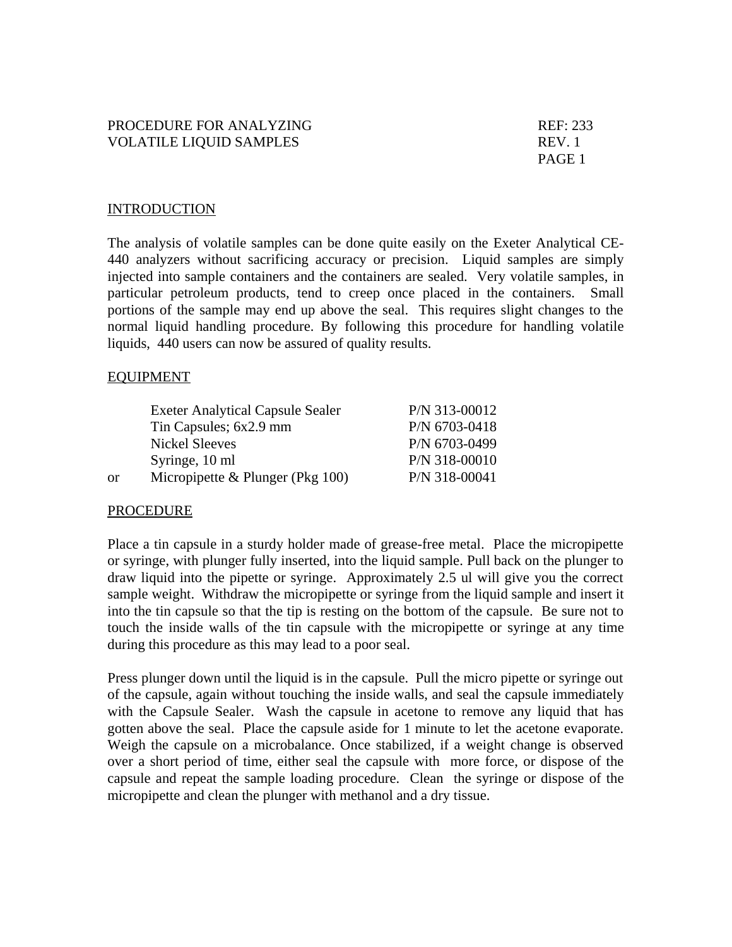## PROCEDURE FOR ANALYZING REF: 233 VOLATILE LIQUID SAMPLES REV. 1

PAGE 1

## **INTRODUCTION**

The analysis of volatile samples can be done quite easily on the Exeter Analytical CE-440 analyzers without sacrificing accuracy or precision. Liquid samples are simply injected into sample containers and the containers are sealed. Very volatile samples, in particular petroleum products, tend to creep once placed in the containers. Small portions of the sample may end up above the seal. This requires slight changes to the normal liquid handling procedure. By following this procedure for handling volatile liquids, 440 users can now be assured of quality results.

## EQUIPMENT

|    | <b>Exeter Analytical Capsule Sealer</b> | $P/N$ 313-00012 |
|----|-----------------------------------------|-----------------|
|    | Tin Capsules; 6x2.9 mm                  | P/N 6703-0418   |
|    | <b>Nickel Sleeves</b>                   | P/N 6703-0499   |
|    | Syringe, 10 ml                          | P/N 318-00010   |
| or | Micropipette & Plunger (Pkg $100$ )     | P/N 318-00041   |

## PROCEDURE

Place a tin capsule in a sturdy holder made of grease-free metal. Place the micropipette or syringe, with plunger fully inserted, into the liquid sample. Pull back on the plunger to draw liquid into the pipette or syringe. Approximately 2.5 ul will give you the correct sample weight. Withdraw the micropipette or syringe from the liquid sample and insert it into the tin capsule so that the tip is resting on the bottom of the capsule. Be sure not to touch the inside walls of the tin capsule with the micropipette or syringe at any time during this procedure as this may lead to a poor seal.

Press plunger down until the liquid is in the capsule. Pull the micro pipette or syringe out of the capsule, again without touching the inside walls, and seal the capsule immediately with the Capsule Sealer. Wash the capsule in acetone to remove any liquid that has gotten above the seal. Place the capsule aside for 1 minute to let the acetone evaporate. Weigh the capsule on a microbalance. Once stabilized, if a weight change is observed over a short period of time, either seal the capsule with more force, or dispose of the capsule and repeat the sample loading procedure. Clean the syringe or dispose of the micropipette and clean the plunger with methanol and a dry tissue.